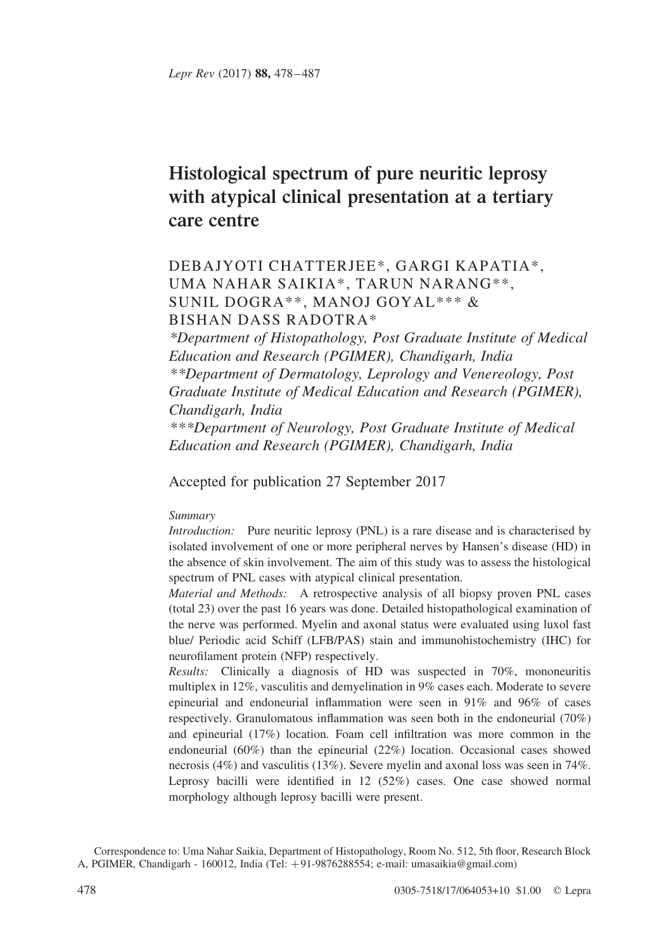# Histological spectrum of pure neuritic leprosy with atypical clinical presentation at a tertiary care centre

## DEBAJYOTI CHATTERJEE\*, GARGI KAPATIA\*, UMA NAHAR SAIKIA\*, TARUN NARANG\*\*, SUNIL DOGRA\*\*, MANOJ GOYAL\*\*\* & BISHAN DASS RADOTRA\*

\*Department of Histopathology, Post Graduate Institute of Medical Education and Research (PGIMER), Chandigarh, India \*\*Department of Dermatology, Leprology and Venereology, Post Graduate Institute of Medical Education and Research (PGIMER), Chandigarh, India \*\*\*Department of Neurology, Post Graduate Institute of Medical

Education and Research (PGIMER), Chandigarh, India

Accepted for publication 27 September 2017

## Summary

Introduction: Pure neuritic leprosy (PNL) is a rare disease and is characterised by isolated involvement of one or more peripheral nerves by Hansen's disease (HD) in the absence of skin involvement. The aim of this study was to assess the histological spectrum of PNL cases with atypical clinical presentation.

Material and Methods: A retrospective analysis of all biopsy proven PNL cases (total 23) over the past 16 years was done. Detailed histopathological examination of the nerve was performed. Myelin and axonal status were evaluated using luxol fast blue/ Periodic acid Schiff (LFB/PAS) stain and immunohistochemistry (IHC) for neurofilament protein (NFP) respectively.

Results: Clinically a diagnosis of HD was suspected in 70%, mononeuritis multiplex in 12%, vasculitis and demyelination in 9% cases each. Moderate to severe epineurial and endoneurial inflammation were seen in 91% and 96% of cases respectively. Granulomatous inflammation was seen both in the endoneurial (70%) and epineurial (17%) location. Foam cell infiltration was more common in the endoneurial (60%) than the epineurial (22%) location. Occasional cases showed necrosis (4%) and vasculitis (13%). Severe myelin and axonal loss was seen in 74%. Leprosy bacilli were identified in 12 (52%) cases. One case showed normal morphology although leprosy bacilli were present.

Correspondence to: Uma Nahar Saikia, Department of Histopathology, Room No. 512, 5th floor, Research Block A, PGIMER, Chandigarh - 160012, India (Tel: +91-9876288554; e-mail: umasaikia@gmail.com)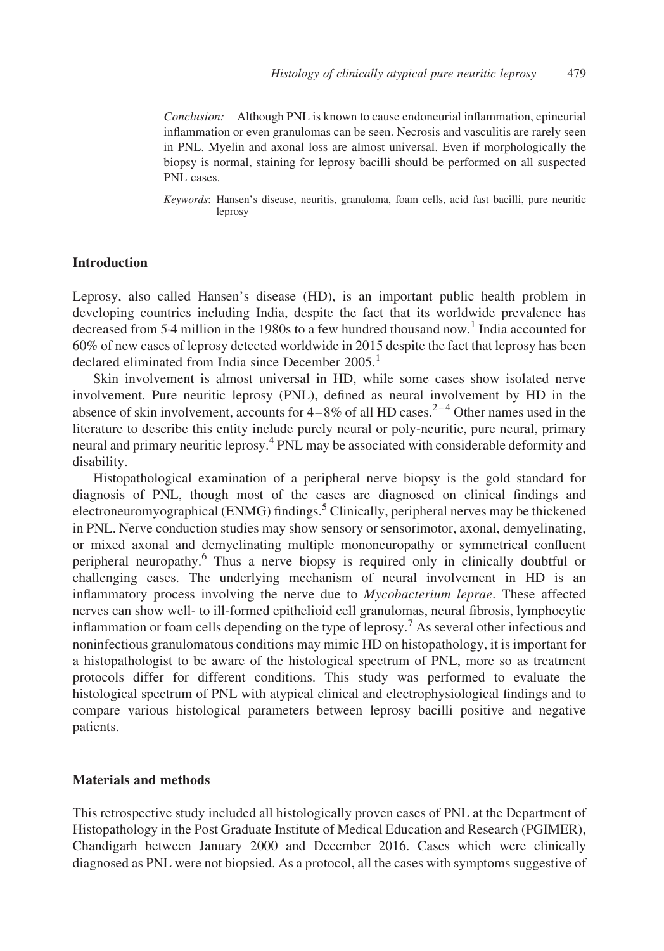Conclusion: Although PNL is known to cause endoneurial inflammation, epineurial inflammation or even granulomas can be seen. Necrosis and vasculitis are rarely seen in PNL. Myelin and axonal loss are almost universal. Even if morphologically the biopsy is normal, staining for leprosy bacilli should be performed on all suspected PNL cases.

Keywords: Hansen's disease, neuritis, granuloma, foam cells, acid fast bacilli, pure neuritic leprosy

## Introduction

Leprosy, also called Hansen's disease (HD), is an important public health problem in developing countries including India, despite the fact that its worldwide prevalence has decreased from 5.4 million in the [1](#page-8-0)980s to a few hundred thousand now.<sup>1</sup> India accounted for 60% of new cases of leprosy detected worldwide in 2015 despite the fact that leprosy has been declared eliminated from India since December  $2005<sup>1</sup>$  $2005<sup>1</sup>$  $2005<sup>1</sup>$ 

Skin involvement is almost universal in HD, while some cases show isolated nerve involvement. Pure neuritic leprosy (PNL), defined as neural involvement by HD in the absence of skin involvement, accounts for  $4-8\%$  of all HD cases.<sup>2-4</sup> Other names used in the literature to describe this entity include purely neural or poly-neuritic, pure neural, primary neural and primary neuritic leprosy.[4](#page-8-0) PNL may be associated with considerable deformity and disability.

Histopathological examination of a peripheral nerve biopsy is the gold standard for diagnosis of PNL, though most of the cases are diagnosed on clinical findings and electroneuromyographical (ENMG) findings.<sup>[5](#page-8-0)</sup> Clinically, peripheral nerves may be thickened in PNL. Nerve conduction studies may show sensory or sensorimotor, axonal, demyelinating, or mixed axonal and demyelinating multiple mononeuropathy or symmetrical confluent peripheral neuropathy.[6](#page-8-0) Thus a nerve biopsy is required only in clinically doubtful or challenging cases. The underlying mechanism of neural involvement in HD is an inflammatory process involving the nerve due to Mycobacterium leprae. These affected nerves can show well- to ill-formed epithelioid cell granulomas, neural fibrosis, lymphocytic inflammation or foam cells depending on the type of leprosy.<sup>[7](#page-8-0)</sup> As several other infectious and noninfectious granulomatous conditions may mimic HD on histopathology, it is important for a histopathologist to be aware of the histological spectrum of PNL, more so as treatment protocols differ for different conditions. This study was performed to evaluate the histological spectrum of PNL with atypical clinical and electrophysiological findings and to compare various histological parameters between leprosy bacilli positive and negative patients.

## Materials and methods

This retrospective study included all histologically proven cases of PNL at the Department of Histopathology in the Post Graduate Institute of Medical Education and Research (PGIMER), Chandigarh between January 2000 and December 2016. Cases which were clinically diagnosed as PNL were not biopsied. As a protocol, all the cases with symptoms suggestive of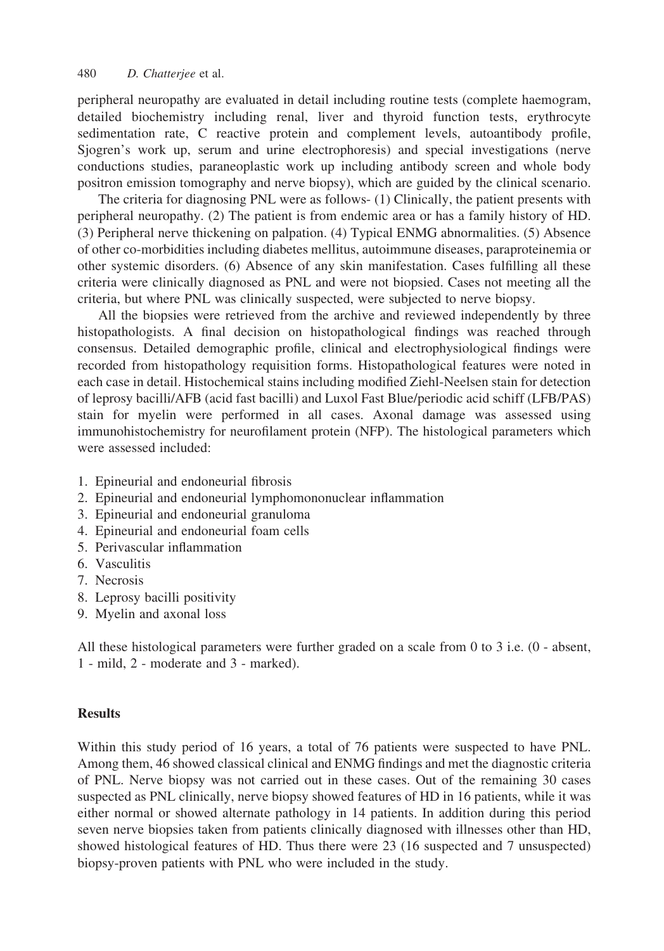peripheral neuropathy are evaluated in detail including routine tests (complete haemogram, detailed biochemistry including renal, liver and thyroid function tests, erythrocyte sedimentation rate, C reactive protein and complement levels, autoantibody profile, Sjogren's work up, serum and urine electrophoresis) and special investigations (nerve conductions studies, paraneoplastic work up including antibody screen and whole body positron emission tomography and nerve biopsy), which are guided by the clinical scenario.

The criteria for diagnosing PNL were as follows- (1) Clinically, the patient presents with peripheral neuropathy. (2) The patient is from endemic area or has a family history of HD. (3) Peripheral nerve thickening on palpation. (4) Typical ENMG abnormalities. (5) Absence of other co-morbidities including diabetes mellitus, autoimmune diseases, paraproteinemia or other systemic disorders. (6) Absence of any skin manifestation. Cases fulfilling all these criteria were clinically diagnosed as PNL and were not biopsied. Cases not meeting all the criteria, but where PNL was clinically suspected, were subjected to nerve biopsy.

All the biopsies were retrieved from the archive and reviewed independently by three histopathologists. A final decision on histopathological findings was reached through consensus. Detailed demographic profile, clinical and electrophysiological findings were recorded from histopathology requisition forms. Histopathological features were noted in each case in detail. Histochemical stains including modified Ziehl-Neelsen stain for detection of leprosy bacilli/AFB (acid fast bacilli) and Luxol Fast Blue/periodic acid schiff (LFB/PAS) stain for myelin were performed in all cases. Axonal damage was assessed using immunohistochemistry for neurofilament protein (NFP). The histological parameters which were assessed included:

- 1. Epineurial and endoneurial fibrosis
- 2. Epineurial and endoneurial lymphomononuclear inflammation
- 3. Epineurial and endoneurial granuloma
- 4. Epineurial and endoneurial foam cells
- 5. Perivascular inflammation
- 6. Vasculitis
- 7. Necrosis
- 8. Leprosy bacilli positivity
- 9. Myelin and axonal loss

All these histological parameters were further graded on a scale from 0 to 3 i.e. (0 - absent, 1 - mild, 2 - moderate and 3 - marked).

## **Results**

Within this study period of 16 years, a total of 76 patients were suspected to have PNL. Among them, 46 showed classical clinical and ENMG findings and met the diagnostic criteria of PNL. Nerve biopsy was not carried out in these cases. Out of the remaining 30 cases suspected as PNL clinically, nerve biopsy showed features of HD in 16 patients, while it was either normal or showed alternate pathology in 14 patients. In addition during this period seven nerve biopsies taken from patients clinically diagnosed with illnesses other than HD, showed histological features of HD. Thus there were 23 (16 suspected and 7 unsuspected) biopsy-proven patients with PNL who were included in the study.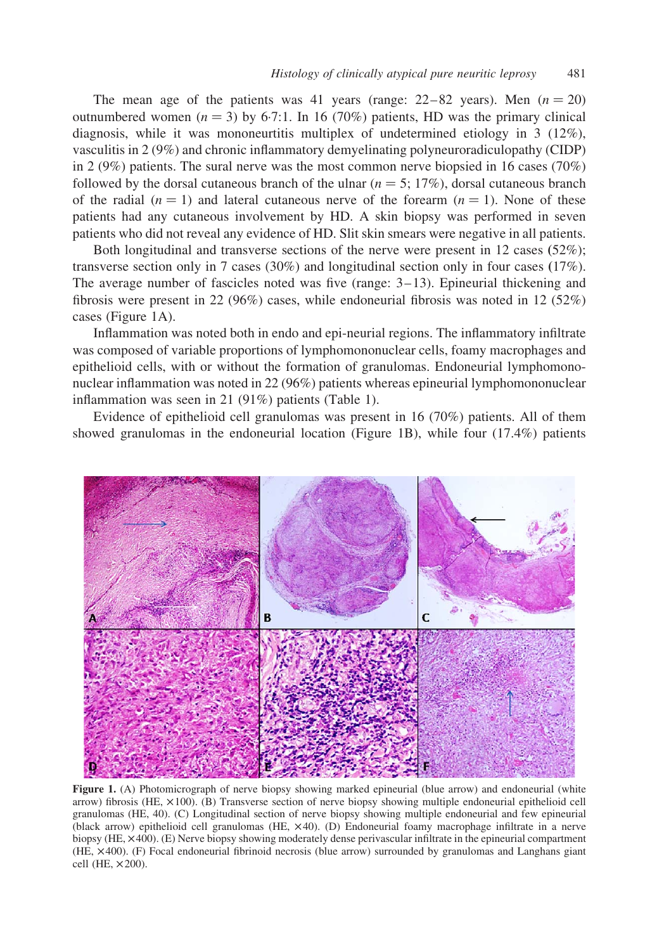<span id="page-3-0"></span>The mean age of the patients was 41 years (range:  $22-82$  years). Men  $(n = 20)$ outnumbered women  $(n = 3)$  by 6.7:1. In 16 (70%) patients, HD was the primary clinical diagnosis, while it was mononeurtitis multiplex of undetermined etiology in 3 (12%), vasculitis in 2 (9%) and chronic inflammatory demyelinating polyneuroradiculopathy (CIDP) in 2 (9%) patients. The sural nerve was the most common nerve biopsied in 16 cases (70%) followed by the dorsal cutaneous branch of the ulnar ( $n = 5$ ; 17%), dorsal cutaneous branch of the radial  $(n = 1)$  and lateral cutaneous nerve of the forearm  $(n = 1)$ . None of these patients had any cutaneous involvement by HD. A skin biopsy was performed in seven patients who did not reveal any evidence of HD. Slit skin smears were negative in all patients.

Both longitudinal and transverse sections of the nerve were present in 12 cases (52%); transverse section only in 7 cases (30%) and longitudinal section only in four cases (17%). The average number of fascicles noted was five (range: 3–13). Epineurial thickening and fibrosis were present in 22 (96%) cases, while endoneurial fibrosis was noted in 12 (52%) cases (Figure 1A).

Inflammation was noted both in endo and epi-neurial regions. The inflammatory infiltrate was composed of variable proportions of lymphomononuclear cells, foamy macrophages and epithelioid cells, with or without the formation of granulomas. Endoneurial lymphomononuclear inflammation was noted in 22 (96%) patients whereas epineurial lymphomononuclear inflammation was seen in 21 (91%) patients [\(Table 1](#page-4-0)).

Evidence of epithelioid cell granulomas was present in 16 (70%) patients. All of them showed granulomas in the endoneurial location (Figure 1B), while four (17.4%) patients



Figure 1. (A) Photomicrograph of nerve biopsy showing marked epineurial (blue arrow) and endoneurial (white arrow) fibrosis (HE,  $\times$ 100). (B) Transverse section of nerve biopsy showing multiple endoneurial epithelioid cell granulomas (HE, 40). (C) Longitudinal section of nerve biopsy showing multiple endoneurial and few epineurial (black arrow) epithelioid cell granulomas (HE,  $\times$ 40). (D) Endoneurial foamy macrophage infiltrate in a nerve biopsy (HE,  $\times$ 400). (E) Nerve biopsy showing moderately dense perivascular infiltrate in the epineurial compartment (HE, £400). (F) Focal endoneurial fibrinoid necrosis (blue arrow) surrounded by granulomas and Langhans giant cell (HE,  $\times$ 200).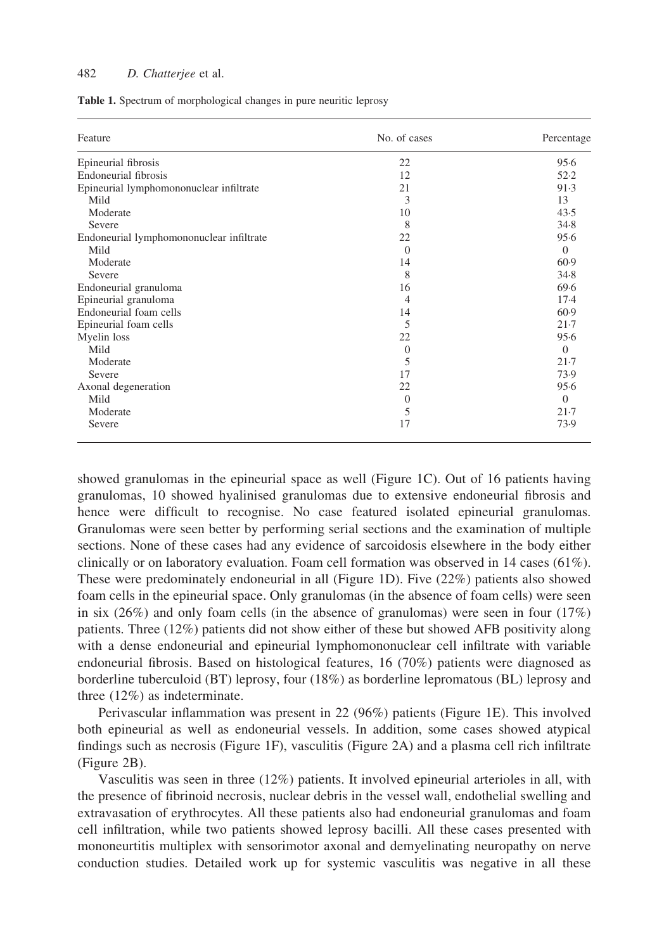#### <span id="page-4-0"></span>482 D. Chatterjee et al.

Table 1. Spectrum of morphological changes in pure neuritic leprosy

| Feature                                  | No. of cases   | Percentage |
|------------------------------------------|----------------|------------|
| Epineurial fibrosis                      | 22             | 95.6       |
| <b>Endoneurial fibrosis</b>              | 12             | 52.2       |
| Epineurial lymphomononuclear infiltrate  | 21             | 91.3       |
| Mild                                     | 3              | 13         |
| Moderate                                 | 10             | 43.5       |
| Severe                                   | 8              | 34.8       |
| Endoneurial lymphomononuclear infiltrate | 22             | 95.6       |
| Mild                                     | $\Omega$       | $\Omega$   |
| Moderate                                 | 14             | 60.9       |
| Severe                                   | 8              | 34.8       |
| Endoneurial granuloma                    | 16             | 69.6       |
| Epineurial granuloma                     | $\overline{4}$ | $17-4$     |
| Endoneurial foam cells                   | 14             | 60.9       |
| Epineurial foam cells                    | 5              | 21.7       |
| Myelin loss                              | 22             | 95.6       |
| Mild                                     | $\overline{0}$ | $\Omega$   |
| Moderate                                 | 5              | $21-7$     |
| Severe                                   | 17             | 73.9       |
| Axonal degeneration                      | 22             | 95.6       |
| Mild                                     | $\Omega$       | $\Omega$   |
| Moderate                                 | 5              | $21-7$     |
| Severe                                   | 17             | 73.9       |

showed granulomas in the epineurial space as well [\(Figure 1C](#page-3-0)). Out of 16 patients having granulomas, 10 showed hyalinised granulomas due to extensive endoneurial fibrosis and hence were difficult to recognise. No case featured isolated epineurial granulomas. Granulomas were seen better by performing serial sections and the examination of multiple sections. None of these cases had any evidence of sarcoidosis elsewhere in the body either clinically or on laboratory evaluation. Foam cell formation was observed in 14 cases  $(61\%)$ . These were predominately endoneurial in all ([Figure 1D](#page-3-0)). Five (22%) patients also showed foam cells in the epineurial space. Only granulomas (in the absence of foam cells) were seen in six  $(26%)$  and only foam cells (in the absence of granulomas) were seen in four  $(17%)$ patients. Three (12%) patients did not show either of these but showed AFB positivity along with a dense endoneurial and epineurial lymphomononuclear cell infiltrate with variable endoneurial fibrosis. Based on histological features, 16 (70%) patients were diagnosed as borderline tuberculoid (BT) leprosy, four (18%) as borderline lepromatous (BL) leprosy and three (12%) as indeterminate.

Perivascular inflammation was present in 22 (96%) patients [\(Figure 1E\)](#page-3-0). This involved both epineurial as well as endoneurial vessels. In addition, some cases showed atypical findings such as necrosis ([Figure 1F](#page-3-0)), vasculitis ([Figure 2A](#page-5-0)) and a plasma cell rich infiltrate [\(Figure 2B](#page-5-0)).

Vasculitis was seen in three (12%) patients. It involved epineurial arterioles in all, with the presence of fibrinoid necrosis, nuclear debris in the vessel wall, endothelial swelling and extravasation of erythrocytes. All these patients also had endoneurial granulomas and foam cell infiltration, while two patients showed leprosy bacilli. All these cases presented with mononeurtitis multiplex with sensorimotor axonal and demyelinating neuropathy on nerve conduction studies. Detailed work up for systemic vasculitis was negative in all these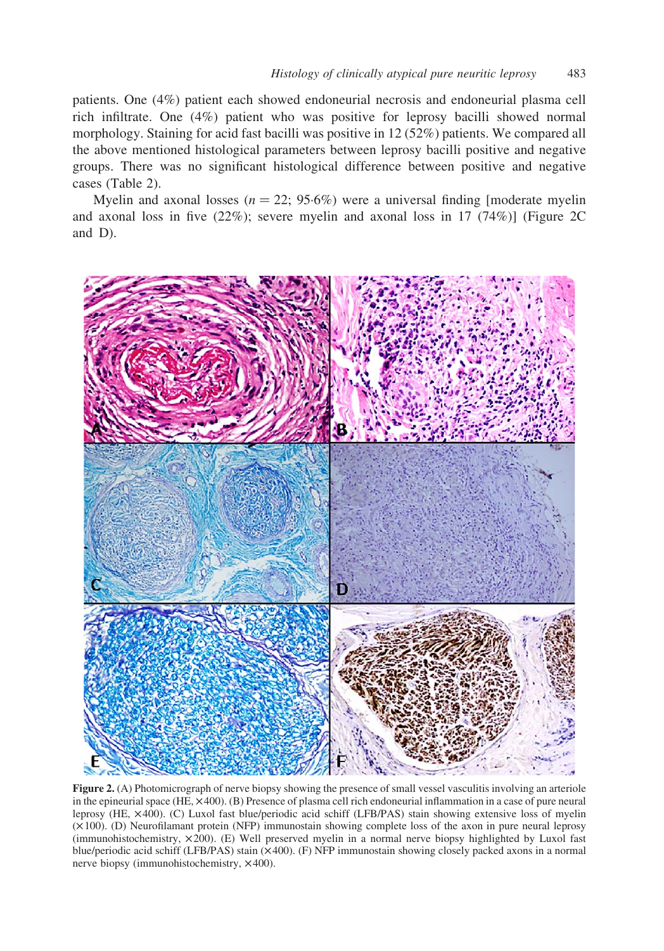<span id="page-5-0"></span>patients. One (4%) patient each showed endoneurial necrosis and endoneurial plasma cell rich infiltrate. One (4%) patient who was positive for leprosy bacilli showed normal morphology. Staining for acid fast bacilli was positive in 12 (52%) patients. We compared all the above mentioned histological parameters between leprosy bacilli positive and negative groups. There was no significant histological difference between positive and negative cases ([Table 2\)](#page-6-0).

Myelin and axonal losses ( $n = 22$ ; 95.6%) were a universal finding [moderate myelin] and axonal loss in five (22%); severe myelin and axonal loss in 17 (74%)] (Figure 2C and D).



Figure 2. (A) Photomicrograph of nerve biopsy showing the presence of small vessel vasculitis involving an arteriole in the epineurial space (HE,  $\times$ 400). (B) Presence of plasma cell rich endoneurial inflammation in a case of pure neural leprosy (HE, £400). (C) Luxol fast blue/periodic acid schiff (LFB/PAS) stain showing extensive loss of myelin  $(\times 100)$ . (D) Neurofilamant protein (NFP) immunostain showing complete loss of the axon in pure neural leprosy (immunohistochemistry,  $\times$ 200). (E) Well preserved myelin in a normal nerve biopsy highlighted by Luxol fast blue/periodic acid schiff (LFB/PAS) stain ( $\times$ 400). (F) NFP immunostain showing closely packed axons in a normal nerve biopsy (immunohistochemistry,  $\times$ 400).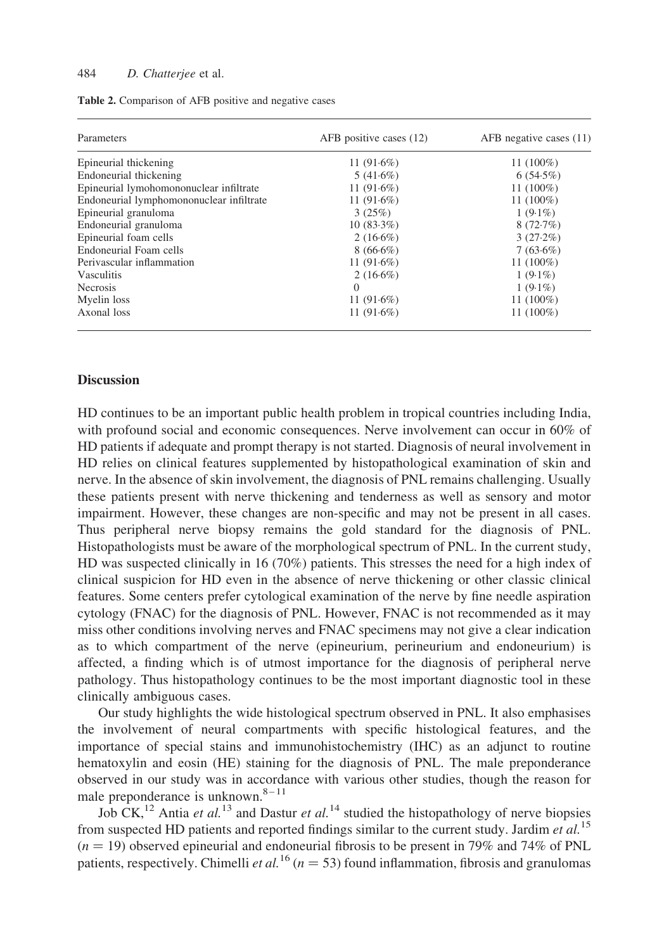#### <span id="page-6-0"></span>484 D. Chatterjee et al.

| Parameters                               | AFB positive cases (12) | $AFB$ negative cases $(11)$ |
|------------------------------------------|-------------------------|-----------------------------|
| Epineurial thickening                    | 11 $(91.6\%)$           | 11 $(100\%)$                |
| Endoneurial thickening                   | 5(41.6%)                | $6(54.5\%)$                 |
| Epineurial lymohomononuclear infiltrate  | 11 $(91.6\%)$           | $11(100\%)$                 |
| Endoneurial lymphomononuclear infiltrate | 11 $(91.6\%)$           | $11(100\%)$                 |
| Epineurial granuloma                     | 3(25%)                  | $1(9.1\%)$                  |
| Endoneurial granuloma                    | $10(83.3\%)$            | 8(72.7%)                    |
| Epineurial foam cells                    | $2(16.6\%)$             | $3(27.2\%)$                 |
| Endoneurial Foam cells                   | $8(66.6\%)$             | $7(63.6\%)$                 |
| Perivascular inflammation                | 11 $(91.6\%)$           | $11(100\%)$                 |
| <b>Vasculitis</b>                        | $2(16.6\%)$             | $1(9.1\%)$                  |
| <b>Necrosis</b>                          | $\Omega$                | $1(9.1\%)$                  |
| Myelin loss                              | 11 $(91.6%)$            | $11(100\%)$                 |
| Axonal loss                              | 11 $(91.6%)$            | 11 (100%)                   |

Table 2. Comparison of AFB positive and negative cases

## **Discussion**

HD continues to be an important public health problem in tropical countries including India, with profound social and economic consequences. Nerve involvement can occur in 60% of HD patients if adequate and prompt therapy is not started. Diagnosis of neural involvement in HD relies on clinical features supplemented by histopathological examination of skin and nerve. In the absence of skin involvement, the diagnosis of PNL remains challenging. Usually these patients present with nerve thickening and tenderness as well as sensory and motor impairment. However, these changes are non-specific and may not be present in all cases. Thus peripheral nerve biopsy remains the gold standard for the diagnosis of PNL. Histopathologists must be aware of the morphological spectrum of PNL. In the current study, HD was suspected clinically in 16 (70%) patients. This stresses the need for a high index of clinical suspicion for HD even in the absence of nerve thickening or other classic clinical features. Some centers prefer cytological examination of the nerve by fine needle aspiration cytology (FNAC) for the diagnosis of PNL. However, FNAC is not recommended as it may miss other conditions involving nerves and FNAC specimens may not give a clear indication as to which compartment of the nerve (epineurium, perineurium and endoneurium) is affected, a finding which is of utmost importance for the diagnosis of peripheral nerve pathology. Thus histopathology continues to be the most important diagnostic tool in these clinically ambiguous cases.

Our study highlights the wide histological spectrum observed in PNL. It also emphasises the involvement of neural compartments with specific histological features, and the importance of special stains and immunohistochemistry (IHC) as an adjunct to routine hematoxylin and eosin (HE) staining for the diagnosis of PNL. The male preponderance observed in our study was in accordance with various other studies, though the reason for male preponderance is unknown.<sup>8–11</sup>

Job CK,<sup>[12](#page-8-0)</sup> Antia *et al.*<sup>[13](#page-8-0)</sup> and Dastur *et al.*<sup>[14](#page-8-0)</sup> studied the histopathology of nerve biopsies from suspected HD patients and reported findings similar to the current study. Jardim *et al.*<sup>[15](#page-8-0)</sup>  $(n = 19)$  observed epineurial and endoneurial fibrosis to be present in 79% and 74% of PNL patients, respectively. Chimelli et al.<sup>[16](#page-8-0)</sup> ( $n = 53$ ) found inflammation, fibrosis and granulomas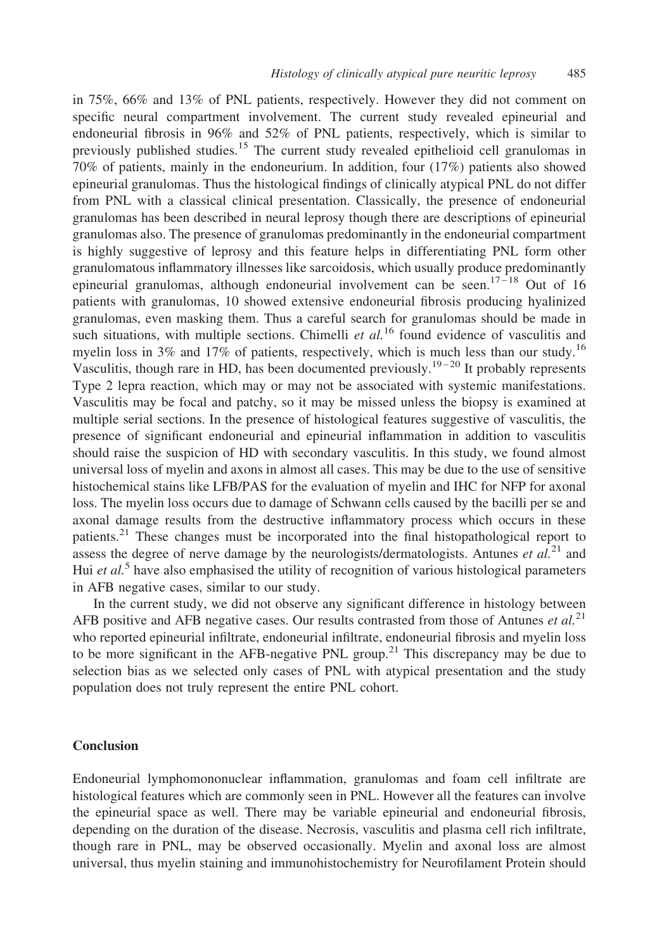in 75%, 66% and 13% of PNL patients, respectively. However they did not comment on specific neural compartment involvement. The current study revealed epineurial and endoneurial fibrosis in 96% and 52% of PNL patients, respectively, which is similar to previously published studies.<sup>[15](#page-8-0)</sup> The current study revealed epithelioid cell granulomas in 70% of patients, mainly in the endoneurium. In addition, four (17%) patients also showed epineurial granulomas. Thus the histological findings of clinically atypical PNL do not differ from PNL with a classical clinical presentation. Classically, the presence of endoneurial granulomas has been described in neural leprosy though there are descriptions of epineurial granulomas also. The presence of granulomas predominantly in the endoneurial compartment is highly suggestive of leprosy and this feature helps in differentiating PNL form other granulomatous inflammatory illnesses like sarcoidosis, which usually produce predominantly epineurial granulomas, although endoneurial involvement can be seen.<sup>17-18</sup> Out of 16 patients with granulomas, 10 showed extensive endoneurial fibrosis producing hyalinized granulomas, even masking them. Thus a careful search for granulomas should be made in such situations, with multiple sections. Chimelli *et al.*<sup>[16](#page-8-0)</sup> found evidence of vasculitis and myelin loss in 3% and 17% of patients, respectively, which is much less than our study.<sup>[16](#page-8-0)</sup> Vasculitis, though rare in HD, has been documented previously.<sup>19-20</sup> It probably represents Type 2 lepra reaction, which may or may not be associated with systemic manifestations. Vasculitis may be focal and patchy, so it may be missed unless the biopsy is examined at multiple serial sections. In the presence of histological features suggestive of vasculitis, the presence of significant endoneurial and epineurial inflammation in addition to vasculitis should raise the suspicion of HD with secondary vasculitis. In this study, we found almost universal loss of myelin and axons in almost all cases. This may be due to the use of sensitive histochemical stains like LFB/PAS for the evaluation of myelin and IHC for NFP for axonal loss. The myelin loss occurs due to damage of Schwann cells caused by the bacilli per se and axonal damage results from the destructive inflammatory process which occurs in these patients. $2<sup>1</sup>$  These changes must be incorporated into the final histopathological report to assess the degree of nerve damage by the neurologists/dermatologists. Antunes *et al.*<sup>[21](#page-9-0)</sup> and Hui *et al.*<sup>[5](#page-8-0)</sup> have also emphasised the utility of recognition of various histological parameters in AFB negative cases, similar to our study.

In the current study, we did not observe any significant difference in histology between AFB positive and AFB negative cases. Our results contrasted from those of Antunes et  $al$ <sup>[21](#page-9-0)</sup> who reported epineurial infiltrate, endoneurial infiltrate, endoneurial fibrosis and myelin loss to be more significant in the AFB-negative PNL group.<sup>[21](#page-9-0)</sup> This discrepancy may be due to selection bias as we selected only cases of PNL with atypical presentation and the study population does not truly represent the entire PNL cohort.

## Conclusion

Endoneurial lymphomononuclear inflammation, granulomas and foam cell infiltrate are histological features which are commonly seen in PNL. However all the features can involve the epineurial space as well. There may be variable epineurial and endoneurial fibrosis, depending on the duration of the disease. Necrosis, vasculitis and plasma cell rich infiltrate, though rare in PNL, may be observed occasionally. Myelin and axonal loss are almost universal, thus myelin staining and immunohistochemistry for Neurofilament Protein should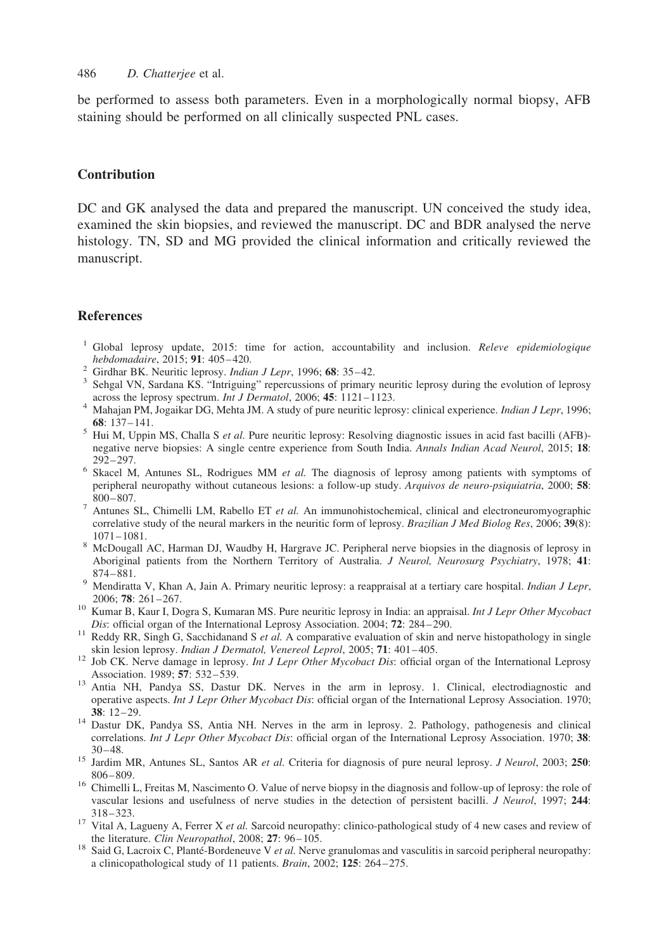<span id="page-8-0"></span>486 D. Chatterjee et al.

be performed to assess both parameters. Even in a morphologically normal biopsy, AFB staining should be performed on all clinically suspected PNL cases.

## **Contribution**

DC and GK analysed the data and prepared the manuscript. UN conceived the study idea, examined the skin biopsies, and reviewed the manuscript. DC and BDR analysed the nerve histology. TN, SD and MG provided the clinical information and critically reviewed the manuscript.

#### References

- <sup>1</sup> Global leprosy update, 2015: time for action, accountability and inclusion. *Releve epidemiologique hebdomadaire*, 2015; **91**: 405–420.
- 
- For a Girdhar BK. Neuritic leprosy. Indian J Lepr, 1996; 68: 35–42.<br>
<sup>2</sup> Sehgal VN, Sardana KS. "Intriguing" repercussions of primary neuritic leprosy during the evolution of leprosy across the leprosy spectrum. *Int J De*
- <sup>4</sup> Mahajan PM, Jogaikar DG, Mehta JM. A study of pure neuritic leprosy: clinical experience. *Indian J Lepr*, 1996;
- 68: 137–141.<br><sup>5</sup> Hui M, Uppin MS, Challa S *et al.* Pure neuritic leprosy: Resolving diagnostic issues in acid fast bacilli (AFB)negative nerve biopsies: A single centre experience from South India. Annals Indian Acad Neurol, 2015; 18:
- 292–297. 6 Skacel M, Antunes SL, Rodrigues MM *et al.* The diagnosis of leprosy among patients with symptoms of peripheral neuropathy without cutaneous lesions: a follow-up study. Arquivos de neuro-psiquiatria, 2000; 58:
- 800–807.<br><sup>7</sup> Antunes SL, Chimelli LM, Rabello ET *et al.* An immunohistochemical, clinical and electroneuromyographic correlative study of the neural markers in the neuritic form of leprosy. Brazilian J Med Biolog Res, 2006;  $39(8)$ :  $1071-1081$ .<br><sup>8</sup> McDougall AC, Harman DJ, Waudby H, Hargrave JC. Peripheral nerve biopsies in the diagnosis of leprosy in
- Aboriginal patients from the Northern Territory of Australia. J Neurol, Neurosurg Psychiatry, 1978; 41:
- 874–881.<br><sup>9</sup> Mendiratta V, Khan A, Jain A. Primary neuritic leprosy: a reappraisal at a tertiary care hospital. *Indian J Lepr*,
- 2006; 78: 261–267. 2010 Valemmar MS. Pure neuritic leprosy in India: an appraisal. *Int J Lepr Other Mycobact* 10 Kumar B, Kaur I, Dogra S, Kumaran MS. Pure neuritic leprosy in India: an appraisal. *Int J Lepr Other Mycob*
- Dis: official organ of the International Leprosy Association. 2004; 72: 284–290.<br><sup>11</sup> Reddy RR, Singh G, Sacchidanand S *et al.* A comparative evaluation of skin and nerve histopathology in single
- skin lesion leprosy. Indian J Dermatol, Venereol Leprol, 2005; 71: 401–405.<br><sup>12</sup> Job CK. Nerve damage in leprosy. Int J Lepr Other Mycobact Dis: official organ of the International Leprosy
- Association. 1989; <sup>57</sup>: 532–539. <sup>13</sup> Antia NH, Pandya SS, Dastur DK. Nerves in the arm in leprosy. 1. Clinical, electrodiagnostic and operative aspects. Int J Lepr Other Mycobact Dis: official organ of the International Leprosy Association. 1970;
- <sup>38</sup>: 12–29. <sup>14</sup> Dastur DK, Pandya SS, Antia NH. Nerves in the arm in leprosy. 2. Pathology, pathogenesis and clinical correlations. Int J Lepr Other Mycobact Dis: official organ of the International Leprosy Association. 1970; 38:
- 30–48.<br><sup>15</sup> Jardim MR, Antunes SL, Santos AR *et al.* Criteria for diagnosis of pure neural leprosy. *J Neurol*, 2003; **250**:
- $806-809$ .<br><sup>16</sup> Chimelli L, Freitas M, Nascimento O. Value of nerve biopsy in the diagnosis and follow-up of leprosy: the role of vascular lesions and usefulness of nerve studies in the detection of persistent bacilli. J Neurol, 1997; 244:
- 318–323. 17 Vital A, Lagueny A, Ferrer X et al. Sarcoid neuropathy: clinico-pathological study of 4 new cases and review of the literature. Clin Neuropathol, 2008; 27: 96–105.<br><sup>18</sup> Said G, Lacroix C, Planté-Bordeneuve V *et al.* Nerve granulomas and vasculitis in sarcoid peripheral neuropathy:
- a clinicopathological study of 11 patients. Brain, 2002; 125: 264–275.